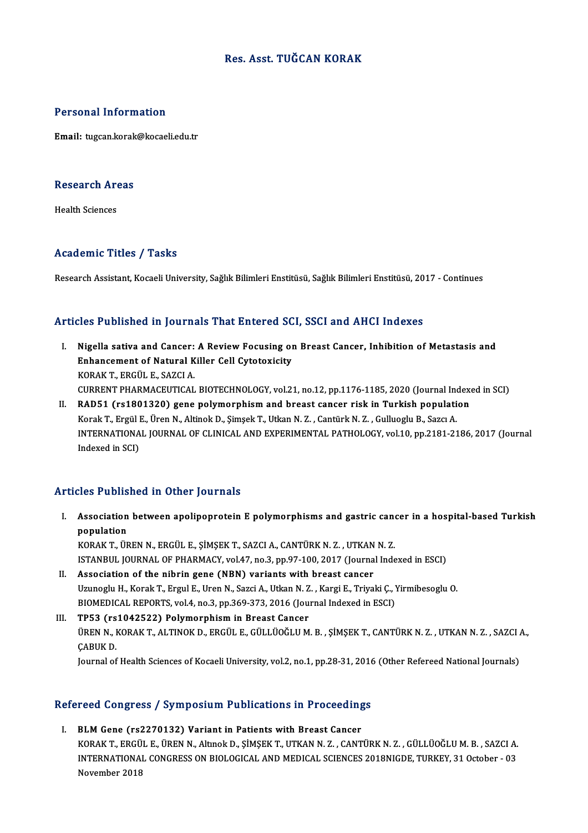### Res. Asst. TUĞCAN KORAK

#### Personal Information

Email: tugcan.korak@kocaeli.edu.tr

### ی<br>Research Areas R<mark>esearch Ar</mark><br>Health Sciences

# Academic Titles / Tasks

Research Assistant, Kocaeli University, Sağlık Bilimleri Enstitüsü, Sağlık Bilimleri Enstitüsü, 2017 - Continues

#### Articles Published in Journals That Entered SCI, SSCI and AHCI Indexes

- I. Nigella sativa and Cancer: A Review Focusing on Breast Cancer, Inhibition of Metastasis and Nigella sativa and Cancer: A Review Focusing of<br>Enhancement of Natural Killer Cell Cytotoxicity<br>FORAFT EDGÜLE, SAZCLA Nigella sativa and Cancer:<br>Enhancement of Natural K<br>KORAK T., ERGÜL E., SAZCI A.<br>CUPPENT PHAPMACEUTICAL Enhancement of Natural Killer Cell Cytotoxicity<br>KORAK T., ERGÜL E., SAZCI A.<br>CURRENT PHARMACEUTICAL BIOTECHNOLOGY, vol.21, no.12, pp.1176-1185, 2020 (Journal Indexed in SCI)<br>RADE1, (sc1801320), sono polymorphism and breast KORAK T., ERGÜL E., SAZCI A.<br>CURRENT PHARMACEUTICAL BIOTECHNOLOGY, vol.21, no.12, pp.1176-1185, 2020 (Journal Index<br>II. RAD51 (rs1801320) gene polymorphism and breast cancer risk in Turkish population
- CURRENT PHARMACEUTICAL BIOTECHNOLOGY, vol.21, no.12, pp.1176-1185, 2020 (Journal Inc<br>RAD51 (rs1801320) gene polymorphism and breast cancer risk in Turkish populati<br>Korak T., Ergül E., Üren N., Altinok D., Şimşek T., Utkan INTERNATIONAL JOURNAL OF CLINICAL AND EXPERIMENTAL PATHOLOGY, vol.10, pp.2181-2186, 2017 (Journal Indexed in SCI) Korak T., Ergül E., Üren N., Altinok D., Şimşek T., Utkan N. Z., Cantürk N. Z., Gulluoglu B., Sazcı A.

#### Articles Published in Other Journals

rticles Published in Other Journals<br>I. Association between apolipoprotein E polymorphisms and gastric cancer in a hospital-based Turkish<br>Repulstion  $\Delta$ <br>ssociation<br>population<br>vop  $\Delta$  v  $\pi$  , in Association between apolipoprotein E polymorphisms and gastric canon<br>population<br>KORAK T., ÜREN N., ERGÜL E., ŞİMŞEK T., SAZCI A., CANTÜRK N. Z. , UTKAN N. Z.<br>ISTANPUL JOUPNAL OF PHAPMACY, vel 47, ne 3, np 97,100, 2017 (Jou population<br>ISTANBUL JOURNAL OF PHARMACY, vol.47, no.3, pp.97-100, 2017 (Journal Indexed in ESCI)<br>II. Association of the nibrin gene (NBN) variants with breast cancer

KORAK T., ÜREN N., ERGÜL E., ŞİMŞEK T., SAZCI A., CANTÜRK N. Z., UTKAN<br>ISTANBUL JOURNAL OF PHARMACY, vol.47, no.3, pp.97-100, 2017 (Journa<br>II. Association of the nibrin gene (NBN) variants with breast cancer<br>II. Hannesly H

- ISTANBUL JOURNAL OF PHARMACY, vol.47, no.3, pp.97-100, 2017 (Journal Indexed in ESCI)<br>Association of the nibrin gene (NBN) variants with breast cancer<br>Uzunoglu H., Korak T., Ergul E., Uren N., Sazci A., Utkan N. Z. , Kargi Association of the nibrin gene (NBN) variants with breast cancer<br>Uzunoglu H., Korak T., Ergul E., Uren N., Sazci A., Utkan N. Z. , Kargi E., Triyaki Ç., Y<br>BIOMEDICAL REPORTS, vol.4, no.3, pp.369-373, 2016 (Journal Indexed Uzunoglu H., Korak T., Ergul E., Uren N., Sazci A., Utkan N. Z<br>BIOMEDICAL REPORTS, vol.4, no.3, pp.369-373, 2016 (Jou<br>III. TP53 (rs1042522) Polymorphism in Breast Cancer<br>UPEN N. KORAK T. ALTINOK D. ERCÜL E. CÜLLÜQÖLUM
- BIOMEDICAL REPORTS, vol.4, no.3, pp.369-373, 2016 (Journal Indexed in ESCI)<br>TP53 (rs1042522) Polymorphism in Breast Cancer<br>ÜREN N., KORAK T., ALTINOK D., ERGÜL E., GÜLLÜOĞLU M. B. , ŞİMŞEK T., CANTÜRK N. Z. , UTKAN N. Z. , TP53 (rs<br>ÜREN N., I<br>ÇABUK D.<br>Journal of ÜREN N., KORAK T., ALTINOK D., ERGÜL E., GÜLLÜOĞLU M. B. , ŞİMŞEK T., CANTÜRK N. Z. , UTKAN N. Z. , SAZCI *ı*<br>ÇABUK D.<br>Journal of Health Sciences of Kocaeli University, vol.2, no.1, pp.28-31, 2016 (Other Refereed National

# Journal of Health Sciences of Kocaeli University, vol.2, no.1, pp.28-31, 2016 (Other Refereed National Journals)<br>Refereed Congress / Symposium Publications in Proceedings

I. BLMGene (rs2270132) Variant in Patients with Breast Cancer KORAK T., ERGÜL E., ÜREN N., Altınok D., SİMSEK T., UTKAN N. Z., CANTÜRK N. Z., GÜLLÜOĞLU M. B., SAZCI A. BLM Gene (rs2270132) Variant in Patients with Breast Cancer<br>KORAK T., ERGÜL E., ÜREN N., Altınok D., ŞİMŞEK T., UTKAN N. Z. , CANTÜRK N. Z. , GÜLLÜOĞLU M. B. , SAZCI A.<br>INTERNATIONAL CONGRESS ON BIOLOGICAL AND MEDICAL SCIE KORAK T., ERGÜ<br>INTERNATIONA<br>November 2018